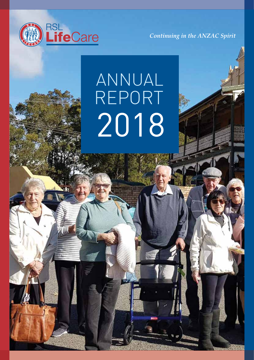

*Continuing in the ANZAC Spirit*

# 2018 ANNUAL REPORT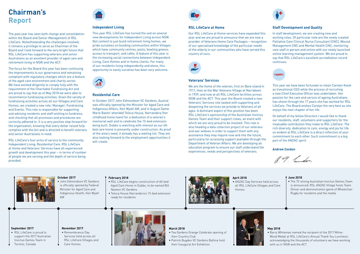#### **September 2017**

• RSL LifeCare is proud to support the 2017 Australian Invictus Games Team in Toronto, Canada

**November 2017** • Remembrance Day Services held across all RSL LifeCare Villages and Care Homes



## **March 2018**

- Tea Gardens Grange Celebrate opening of their Country Club
- Patrick Bugden VC Gardens Ballina hold their Inaugural Art Exhibition





#### **February 2018**

- RSL LifeCare begins construction of 60-bed Aged Care Home in Dubbo, to be named Bill Newton VC Gardens
- Teloca House Narrandera's 15-bed extension ready for residents



#### **October 2017**

• John Edmondson VC Gardens is officially opened by Federal Minister for Aged Care and Indigenous Health, Ken Wyatt AM

#### **April 2018**

• ANZAC Day Services held across all RSL LifeCare Villages and Care Homes

## **May 2018**

• Barry Whiteman named the recipient of the 2017 Milne-Wood Medal at RSL LifeCare's Annual Thank You Luncheon, acknowledging the thousands of volunteers we have working with us in NSW and the ACT

#### **June 2018**

• The 72-strong Australian Invictus Games Team is announced; RSL ANZAC Village hosts Team Dinner and demonstration game of Wheelchair Rugby for residents and the media

# **Chairman's Report**

The past year has seen both change and consolidation within the Board and Senior Management of RSL LifeCare. Notwithstanding the challenges involved, it remains a privilege to serve as Chairman of the Board and I look forward to the very bright future that RSL LifeCare has supporting veterans and senior Australians as an excellent provider of aged care and retirement living in NSW and the ACT.

> In October 2017 John Edmondson VC Gardens, Austral was officially opened by the Minister for Aged Care and Indigenous Affairs, Ken Wyatt AM, and in August Dame Marie Bashir attended Teloca House, Narrandera (her childhood home town) for a dedication of a veteran's memorial wall and to celebrate the 15-bed extension being built. Dubbo is watching with interest as our 60 bed care home is presently under construction. As proof of the area's need, it already has a waiting list. They are also looking forward to the employment opportunities it will create.



The focus for the Board this year has been continuing the improvements to our governance and remaining compliant with regulatory changes which are a feature of the aged care environment and charity sector. We have worked diligently to comply fully with the requirement of the Charitable Fundraising Act and are proud to say that as of May 2018 we were able to recommence fundraising activities. Given the variety of fundraising activities across all our Villages and Care Homes, we created a new role: Manager, Fundraising and Events. This role is responsible for supporting and advising residents and staff wishing to fundraise, and checking that all processes and procedures are correctly adhered to. It is a very positive step forward for the organisation, knowing that every dollar raised fully complies with the Act and is directed to benefit veterans and senior Australians in need.

RSL LifeCare's four arms of service to the community: Independent Living, Residential Care, RSL LifeCare at Home and Veterans' Services have all experienced growth and development this year – in terms of number of people we are serving and the depth of service being provided.



## **Independent Living**

This year RSL LifeCare has turned the sod on several new developments for Independent Living across NSW. Not content to just build retirement living homes, we pride ourselves on building communities within Villages which have community centres, pools, bowling greens, access to transport, and cafés. A feature of this year is the increasing social connections between Independent Living, Care Homes and in-home clients. For many of our residents living independently and alone, this opportunity to easily socialise has been very welcome.



## **Residential Care**

## **RSL LifeCare at Home**

Our RSL LifeCare at Home services have expanded this year and we are proud to announce that we are now a provider of Veterans Home Care Packages – recognition of our specialised knowledge of the particular needs of the elderly in our communities who have served this country of ours.



## **Veterans' Services**

We are the home of the veteran; first on Bare island in 1911, then at the War Veterans Village at Narrabeen in 1939, and now at all RSL LifeCare facilities across NSW and the ACT. This year the Board created a new Veterans' Services role tasked with supporting and deepening the services we provide to Veterans of all ages. A dominant aspect of this position has been RSL LifeCare's sponsorship of the Australian Invictus Games Team and their support crews, an event with which we are very proud to be involved. This role is also heading a data collection project of our veterans and war widows in order to support them with any assistance they may require now and into the future, particularly for accessing support available through the Department of Veteran Affairs. We are developing an education program to ensure our staff understand the experiences, needs and perspectives of veterans.



# **Staff Development and Quality**

In staff development, we are creating new and exciting roles. Of particular note are the newly created Palliative Care Clinical Nurse Consultant (CNC), Wound Management CNC and Mental Health CNC, mentoring care staff in person and online with our newly launched online learning management system. We are proud to say that RSL LifeCare's excellent accreditation record continues.

#### THANKS

This year we have been fortunate to retain Carolyn Kwok as transitional CEO while the process of recruiting a new Chief Executive Officer was undertaken. Her passion for the care and service of ageing Australians has shone through the 17 years she has worked for RSL LifeCare. The Board wishes Carolyn the very best as she enjoys the next chapter of her life.

On behalf of my fellow Directors I would like to thank our residents, staff, volunteers and supporters for the invaluable contribution they make to RSL LifeCare. The rich diversity, dedication to care, energy and joy for life so evident at RSL LifeCare is a direct reflection of your commitment to each other. Such commitment is a big part of the ANZAC spirit.

#### **Andrew Condon**

R. F. Lundon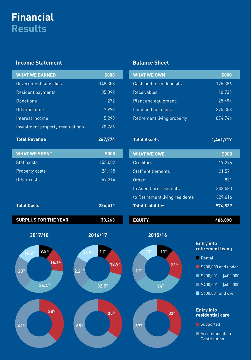# **Financial Results**

# **Income Statement**

| <b>WHAT WE EARNED</b>            | \$000              |
|----------------------------------|--------------------|
| Government subsidies             | 148,358            |
| Resident payments                | 85,092             |
| Donations                        | 272                |
| Other income                     | 7,993              |
| Interest income                  | $\overline{5,293}$ |
| Investment property revaluations | 20,766             |
| <b>Total Revenue</b>             | 267,774            |

**WHAT WE SPENT \$000** Staff costs 153,002 Property costs 24,195

Other costs 57,314

**Total Costs 234,511** 

# **Balance Sheet**

| <b>WHAT WE OWN</b>         | \$000   |
|----------------------------|---------|
| Cash and term deposits     | 175,386 |
| <b>Receivables</b>         | 10,733  |
| Plant and equipment        | 25,494  |
| Land and buildings         | 375,358 |
| Retirement living property | 874,746 |

**Total Assets 1,461,717**

| <b>WHAT WE OWE</b>             | \$000    |
|--------------------------------|----------|
| Creditors                      | 19,276   |
| Staff entitlements             | 21,571   |
| Other                          | 831      |
| to Aged Care residents         | 303, 533 |
| to Retirement living residents | 629,616  |
| <b>Total Liabilities</b>       | 974,827  |

**EQUITY 486,890** 

**21%**

**33%**

**SURPLUS FOR THE YEAR 33,263**







- Rental
- \$200,000 and under
- \$200,001 \$400,000
- \$400,001 \$600,000
- \$600,001 and over

#### **Entry into residential care**

- Supported
- Accommodation Contribution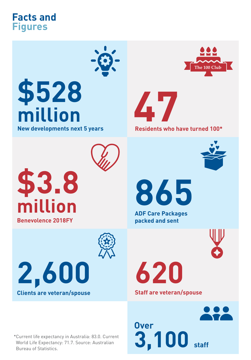# **Facts and Figures**



# **\$528 million**

**New developments next 5 years**





**Residents who have turned 100\***



**865**

**ADF Care Packages packed and sent**



**620**

**Staff are veteran/spouse**



**\$3.8 million Benevolence 2018FY**



**2,600 Clients are veteran/spouse**

\*Current life expectancy in Australia: 83.0. Current World Life Expectancy: 71.7. Source: Australian Bureau of Statistics.